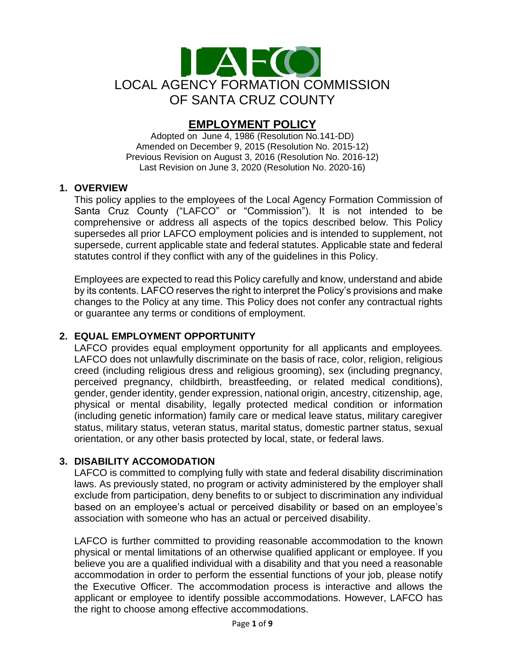

# **EMPLOYMENT POLICY**

Adopted on June 4, 1986 (Resolution No.141-DD) Amended on December 9, 2015 (Resolution No. 2015-12) Previous Revision on August 3, 2016 (Resolution No. 2016-12) Last Revision on June 3, 2020 (Resolution No. 2020-16)

# **1. OVERVIEW**

This policy applies to the employees of the Local Agency Formation Commission of Santa Cruz County ("LAFCO" or "Commission"). It is not intended to be comprehensive or address all aspects of the topics described below. This Policy supersedes all prior LAFCO employment policies and is intended to supplement, not supersede, current applicable state and federal statutes. Applicable state and federal statutes control if they conflict with any of the guidelines in this Policy.

Employees are expected to read this Policy carefully and know, understand and abide by its contents. LAFCO reserves the right to interpret the Policy's provisions and make changes to the Policy at any time. This Policy does not confer any contractual rights or guarantee any terms or conditions of employment.

# **2. EQUAL EMPLOYMENT OPPORTUNITY**

LAFCO provides equal employment opportunity for all applicants and employees. LAFCO does not unlawfully discriminate on the basis of race, color, religion, religious creed (including religious dress and religious grooming), sex (including pregnancy, perceived pregnancy, childbirth, breastfeeding, or related medical conditions), gender, gender identity, gender expression, national origin, ancestry, citizenship, age, physical or mental disability, legally protected medical condition or information (including genetic information) family care or medical leave status, military caregiver status, military status, veteran status, marital status, domestic partner status, sexual orientation, or any other basis protected by local, state, or federal laws.

# **3. DISABILITY ACCOMODATION**

LAFCO is committed to complying fully with state and federal disability discrimination laws. As previously stated, no program or activity administered by the employer shall exclude from participation, deny benefits to or subject to discrimination any individual based on an employee's actual or perceived disability or based on an employee's association with someone who has an actual or perceived disability.

LAFCO is further committed to providing reasonable accommodation to the known physical or mental limitations of an otherwise qualified applicant or employee. If you believe you are a qualified individual with a disability and that you need a reasonable accommodation in order to perform the essential functions of your job, please notify the Executive Officer. The accommodation process is interactive and allows the applicant or employee to identify possible accommodations. However, LAFCO has the right to choose among effective accommodations.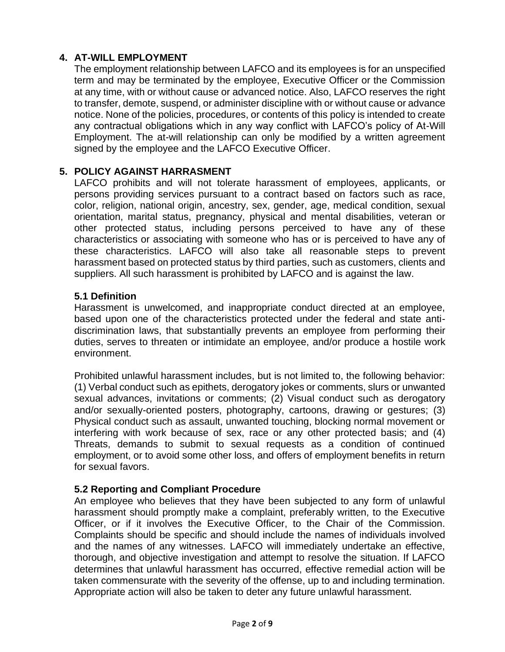# **4. AT-WILL EMPLOYMENT**

The employment relationship between LAFCO and its employees is for an unspecified term and may be terminated by the employee, Executive Officer or the Commission at any time, with or without cause or advanced notice. Also, LAFCO reserves the right to transfer, demote, suspend, or administer discipline with or without cause or advance notice. None of the policies, procedures, or contents of this policy is intended to create any contractual obligations which in any way conflict with LAFCO's policy of At-Will Employment. The at-will relationship can only be modified by a written agreement signed by the employee and the LAFCO Executive Officer.

# **5. POLICY AGAINST HARRASMENT**

LAFCO prohibits and will not tolerate harassment of employees, applicants, or persons providing services pursuant to a contract based on factors such as race, color, religion, national origin, ancestry, sex, gender, age, medical condition, sexual orientation, marital status, pregnancy, physical and mental disabilities, veteran or other protected status, including persons perceived to have any of these characteristics or associating with someone who has or is perceived to have any of these characteristics. LAFCO will also take all reasonable steps to prevent harassment based on protected status by third parties, such as customers, clients and suppliers. All such harassment is prohibited by LAFCO and is against the law.

#### **5.1 Definition**

Harassment is unwelcomed, and inappropriate conduct directed at an employee, based upon one of the characteristics protected under the federal and state antidiscrimination laws, that substantially prevents an employee from performing their duties, serves to threaten or intimidate an employee, and/or produce a hostile work environment.

Prohibited unlawful harassment includes, but is not limited to, the following behavior: (1) Verbal conduct such as epithets, derogatory jokes or comments, slurs or unwanted sexual advances, invitations or comments; (2) Visual conduct such as derogatory and/or sexually-oriented posters, photography, cartoons, drawing or gestures; (3) Physical conduct such as assault, unwanted touching, blocking normal movement or interfering with work because of sex, race or any other protected basis; and (4) Threats, demands to submit to sexual requests as a condition of continued employment, or to avoid some other loss, and offers of employment benefits in return for sexual favors.

#### **5.2 Reporting and Compliant Procedure**

An employee who believes that they have been subjected to any form of unlawful harassment should promptly make a complaint, preferably written, to the Executive Officer, or if it involves the Executive Officer, to the Chair of the Commission. Complaints should be specific and should include the names of individuals involved and the names of any witnesses. LAFCO will immediately undertake an effective, thorough, and objective investigation and attempt to resolve the situation. If LAFCO determines that unlawful harassment has occurred, effective remedial action will be taken commensurate with the severity of the offense, up to and including termination. Appropriate action will also be taken to deter any future unlawful harassment.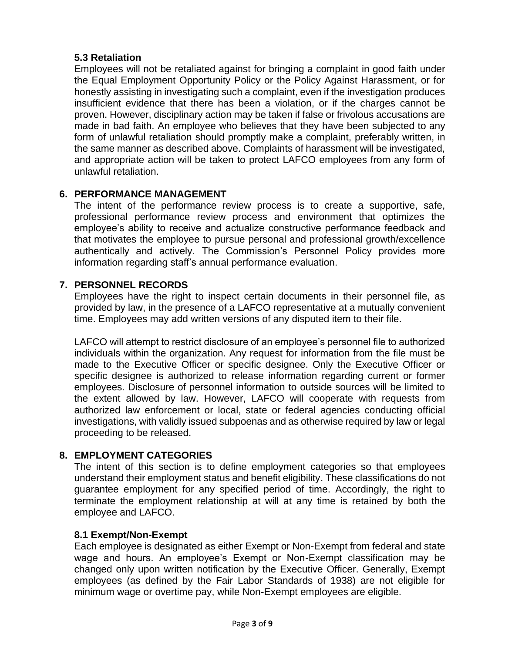# **5.3 Retaliation**

Employees will not be retaliated against for bringing a complaint in good faith under the Equal Employment Opportunity Policy or the Policy Against Harassment, or for honestly assisting in investigating such a complaint, even if the investigation produces insufficient evidence that there has been a violation, or if the charges cannot be proven. However, disciplinary action may be taken if false or frivolous accusations are made in bad faith. An employee who believes that they have been subjected to any form of unlawful retaliation should promptly make a complaint, preferably written, in the same manner as described above. Complaints of harassment will be investigated, and appropriate action will be taken to protect LAFCO employees from any form of unlawful retaliation.

# **6. PERFORMANCE MANAGEMENT**

The intent of the performance review process is to create a supportive, safe, professional performance review process and environment that optimizes the employee's ability to receive and actualize constructive performance feedback and that motivates the employee to pursue personal and professional growth/excellence authentically and actively. The Commission's Personnel Policy provides more information regarding staff's annual performance evaluation.

# **7. PERSONNEL RECORDS**

Employees have the right to inspect certain documents in their personnel file, as provided by law, in the presence of a LAFCO representative at a mutually convenient time. Employees may add written versions of any disputed item to their file.

LAFCO will attempt to restrict disclosure of an employee's personnel file to authorized individuals within the organization. Any request for information from the file must be made to the Executive Officer or specific designee. Only the Executive Officer or specific designee is authorized to release information regarding current or former employees. Disclosure of personnel information to outside sources will be limited to the extent allowed by law. However, LAFCO will cooperate with requests from authorized law enforcement or local, state or federal agencies conducting official investigations, with validly issued subpoenas and as otherwise required by law or legal proceeding to be released.

# **8. EMPLOYMENT CATEGORIES**

The intent of this section is to define employment categories so that employees understand their employment status and benefit eligibility. These classifications do not guarantee employment for any specified period of time. Accordingly, the right to terminate the employment relationship at will at any time is retained by both the employee and LAFCO.

#### **8.1 Exempt/Non-Exempt**

Each employee is designated as either Exempt or Non-Exempt from federal and state wage and hours. An employee's Exempt or Non-Exempt classification may be changed only upon written notification by the Executive Officer. Generally, Exempt employees (as defined by the Fair Labor Standards of 1938) are not eligible for minimum wage or overtime pay, while Non-Exempt employees are eligible.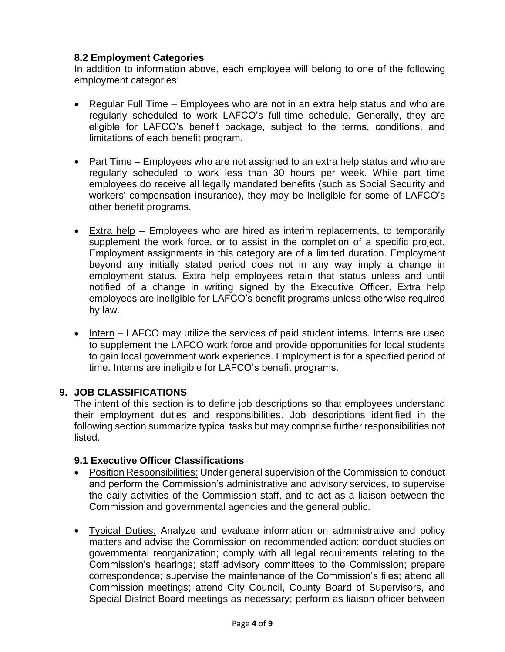# **8.2 Employment Categories**

In addition to information above, each employee will belong to one of the following employment categories:

- Regular Full Time Employees who are not in an extra help status and who are regularly scheduled to work LAFCO's full-time schedule. Generally, they are eligible for LAFCO's benefit package, subject to the terms, conditions, and limitations of each benefit program.
- Part Time Employees who are not assigned to an extra help status and who are regularly scheduled to work less than 30 hours per week. While part time employees do receive all legally mandated benefits (such as Social Security and workers' compensation insurance), they may be ineligible for some of LAFCO's other benefit programs.
- $\bullet$  Extra help Employees who are hired as interim replacements, to temporarily supplement the work force, or to assist in the completion of a specific project. Employment assignments in this category are of a limited duration. Employment beyond any initially stated period does not in any way imply a change in employment status. Extra help employees retain that status unless and until notified of a change in writing signed by the Executive Officer. Extra help employees are ineligible for LAFCO's benefit programs unless otherwise required by law.
- Intern LAFCO may utilize the services of paid student interns. Interns are used to supplement the LAFCO work force and provide opportunities for local students to gain local government work experience. Employment is for a specified period of time. Interns are ineligible for LAFCO's benefit programs.

#### **9. JOB CLASSIFICATIONS**

The intent of this section is to define job descriptions so that employees understand their employment duties and responsibilities. Job descriptions identified in the following section summarize typical tasks but may comprise further responsibilities not listed.

#### **9.1 Executive Officer Classifications**

- Position Responsibilities: Under general supervision of the Commission to conduct and perform the Commission's administrative and advisory services, to supervise the daily activities of the Commission staff, and to act as a liaison between the Commission and governmental agencies and the general public.
- Typical Duties: Analyze and evaluate information on administrative and policy matters and advise the Commission on recommended action; conduct studies on governmental reorganization; comply with all legal requirements relating to the Commission's hearings; staff advisory committees to the Commission; prepare correspondence; supervise the maintenance of the Commission's files; attend all Commission meetings; attend City Council, County Board of Supervisors, and Special District Board meetings as necessary; perform as liaison officer between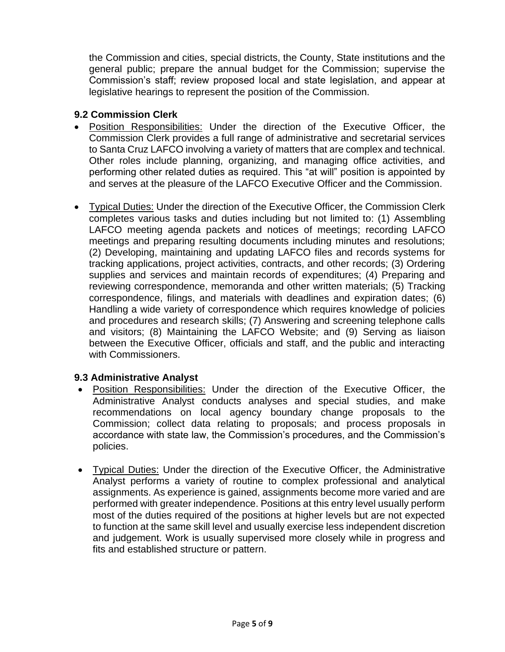the Commission and cities, special districts, the County, State institutions and the general public; prepare the annual budget for the Commission; supervise the Commission's staff; review proposed local and state legislation, and appear at legislative hearings to represent the position of the Commission.

# **9.2 Commission Clerk**

- Position Responsibilities: Under the direction of the Executive Officer, the Commission Clerk provides a full range of administrative and secretarial services to Santa Cruz LAFCO involving a variety of matters that are complex and technical. Other roles include planning, organizing, and managing office activities, and performing other related duties as required. This "at will" position is appointed by and serves at the pleasure of the LAFCO Executive Officer and the Commission.
- Typical Duties: Under the direction of the Executive Officer, the Commission Clerk completes various tasks and duties including but not limited to: (1) Assembling LAFCO meeting agenda packets and notices of meetings; recording LAFCO meetings and preparing resulting documents including minutes and resolutions; (2) Developing, maintaining and updating LAFCO files and records systems for tracking applications, project activities, contracts, and other records; (3) Ordering supplies and services and maintain records of expenditures; (4) Preparing and reviewing correspondence, memoranda and other written materials; (5) Tracking correspondence, filings, and materials with deadlines and expiration dates; (6) Handling a wide variety of correspondence which requires knowledge of policies and procedures and research skills; (7) Answering and screening telephone calls and visitors; (8) Maintaining the LAFCO Website; and (9) Serving as liaison between the Executive Officer, officials and staff, and the public and interacting with Commissioners.

# **9.3 Administrative Analyst**

- Position Responsibilities: Under the direction of the Executive Officer, the Administrative Analyst conducts analyses and special studies, and make recommendations on local agency boundary change proposals to the Commission; collect data relating to proposals; and process proposals in accordance with state law, the Commission's procedures, and the Commission's policies.
- Typical Duties: Under the direction of the Executive Officer, the Administrative Analyst performs a variety of routine to complex professional and analytical assignments. As experience is gained, assignments become more varied and are performed with greater independence. Positions at this entry level usually perform most of the duties required of the positions at higher levels but are not expected to function at the same skill level and usually exercise less independent discretion and judgement. Work is usually supervised more closely while in progress and fits and established structure or pattern.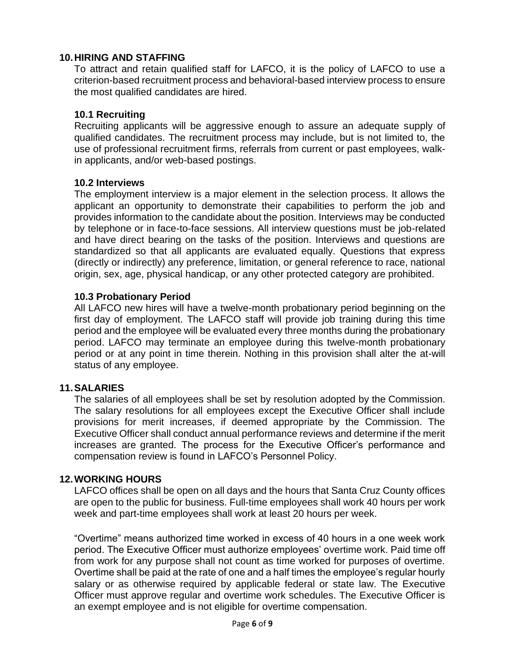## **10.HIRING AND STAFFING**

To attract and retain qualified staff for LAFCO, it is the policy of LAFCO to use a criterion-based recruitment process and behavioral-based interview process to ensure the most qualified candidates are hired.

#### **10.1 Recruiting**

Recruiting applicants will be aggressive enough to assure an adequate supply of qualified candidates. The recruitment process may include, but is not limited to, the use of professional recruitment firms, referrals from current or past employees, walkin applicants, and/or web-based postings.

#### **10.2 Interviews**

The employment interview is a major element in the selection process. It allows the applicant an opportunity to demonstrate their capabilities to perform the job and provides information to the candidate about the position. Interviews may be conducted by telephone or in face-to-face sessions. All interview questions must be job-related and have direct bearing on the tasks of the position. Interviews and questions are standardized so that all applicants are evaluated equally. Questions that express (directly or indirectly) any preference, limitation, or general reference to race, national origin, sex, age, physical handicap, or any other protected category are prohibited.

#### **10.3 Probationary Period**

All LAFCO new hires will have a twelve-month probationary period beginning on the first day of employment. The LAFCO staff will provide job training during this time period and the employee will be evaluated every three months during the probationary period. LAFCO may terminate an employee during this twelve-month probationary period or at any point in time therein. Nothing in this provision shall alter the at-will status of any employee.

#### **11.SALARIES**

The salaries of all employees shall be set by resolution adopted by the Commission. The salary resolutions for all employees except the Executive Officer shall include provisions for merit increases, if deemed appropriate by the Commission. The Executive Officer shall conduct annual performance reviews and determine if the merit increases are granted. The process for the Executive Officer's performance and compensation review is found in LAFCO's Personnel Policy.

#### **12.WORKING HOURS**

LAFCO offices shall be open on all days and the hours that Santa Cruz County offices are open to the public for business. Full-time employees shall work 40 hours per work week and part-time employees shall work at least 20 hours per week.

"Overtime" means authorized time worked in excess of 40 hours in a one week work period. The Executive Officer must authorize employees' overtime work. Paid time off from work for any purpose shall not count as time worked for purposes of overtime. Overtime shall be paid at the rate of one and a half times the employee's regular hourly salary or as otherwise required by applicable federal or state law. The Executive Officer must approve regular and overtime work schedules. The Executive Officer is an exempt employee and is not eligible for overtime compensation.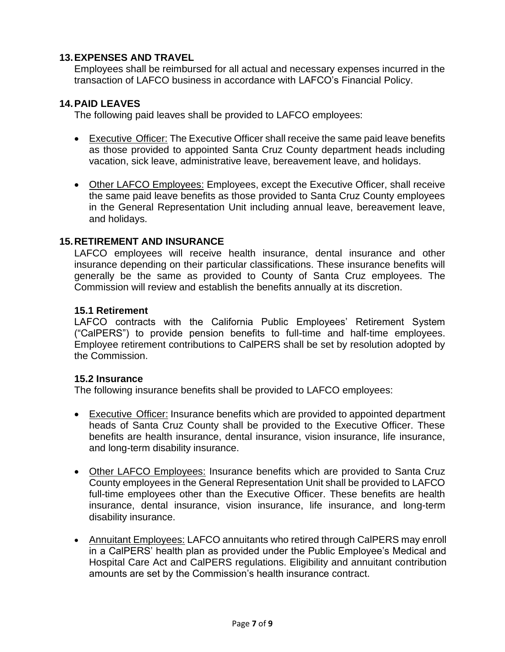## **13.EXPENSES AND TRAVEL**

Employees shall be reimbursed for all actual and necessary expenses incurred in the transaction of LAFCO business in accordance with LAFCO's Financial Policy.

## **14.PAID LEAVES**

The following paid leaves shall be provided to LAFCO employees:

- Executive Officer: The Executive Officer shall receive the same paid leave benefits as those provided to appointed Santa Cruz County department heads including vacation, sick leave, administrative leave, bereavement leave, and holidays.
- Other LAFCO Employees: Employees, except the Executive Officer, shall receive the same paid leave benefits as those provided to Santa Cruz County employees in the General Representation Unit including annual leave, bereavement leave, and holidays.

#### **15.RETIREMENT AND INSURANCE**

LAFCO employees will receive health insurance, dental insurance and other insurance depending on their particular classifications. These insurance benefits will generally be the same as provided to County of Santa Cruz employees. The Commission will review and establish the benefits annually at its discretion.

#### **15.1 Retirement**

LAFCO contracts with the California Public Employees' Retirement System ("CalPERS") to provide pension benefits to full-time and half-time employees. Employee retirement contributions to CalPERS shall be set by resolution adopted by the Commission.

#### **15.2 Insurance**

The following insurance benefits shall be provided to LAFCO employees:

- Executive Officer: Insurance benefits which are provided to appointed department heads of Santa Cruz County shall be provided to the Executive Officer. These benefits are health insurance, dental insurance, vision insurance, life insurance, and long-term disability insurance.
- Other LAFCO Employees: Insurance benefits which are provided to Santa Cruz County employees in the General Representation Unit shall be provided to LAFCO full-time employees other than the Executive Officer. These benefits are health insurance, dental insurance, vision insurance, life insurance, and long-term disability insurance.
- Annuitant Employees: LAFCO annuitants who retired through CalPERS may enroll in a CalPERS' health plan as provided under the Public Employee's Medical and Hospital Care Act and CalPERS regulations. Eligibility and annuitant contribution amounts are set by the Commission's health insurance contract.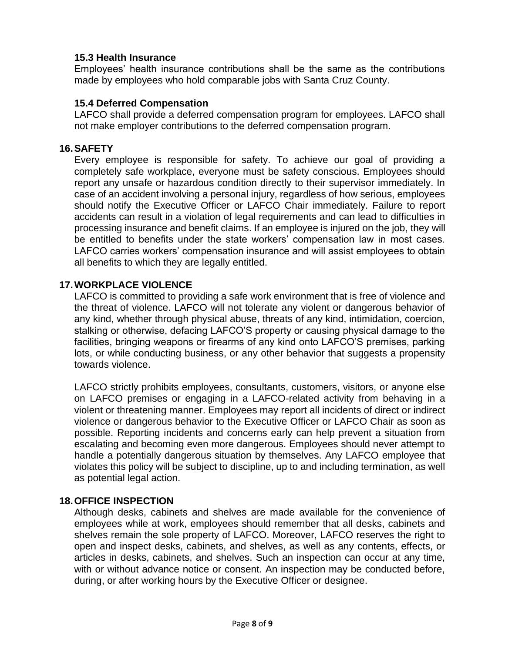#### **15.3 Health Insurance**

Employees' health insurance contributions shall be the same as the contributions made by employees who hold comparable jobs with Santa Cruz County.

#### **15.4 Deferred Compensation**

LAFCO shall provide a deferred compensation program for employees. LAFCO shall not make employer contributions to the deferred compensation program.

## **16.SAFETY**

Every employee is responsible for safety. To achieve our goal of providing a completely safe workplace, everyone must be safety conscious. Employees should report any unsafe or hazardous condition directly to their supervisor immediately. In case of an accident involving a personal injury, regardless of how serious, employees should notify the Executive Officer or LAFCO Chair immediately. Failure to report accidents can result in a violation of legal requirements and can lead to difficulties in processing insurance and benefit claims. If an employee is injured on the job, they will be entitled to benefits under the state workers' compensation law in most cases. LAFCO carries workers' compensation insurance and will assist employees to obtain all benefits to which they are legally entitled.

# **17.WORKPLACE VIOLENCE**

LAFCO is committed to providing a safe work environment that is free of violence and the threat of violence. LAFCO will not tolerate any violent or dangerous behavior of any kind, whether through physical abuse, threats of any kind, intimidation, coercion, stalking or otherwise, defacing LAFCO'S property or causing physical damage to the facilities, bringing weapons or firearms of any kind onto LAFCO'S premises, parking lots, or while conducting business, or any other behavior that suggests a propensity towards violence.

LAFCO strictly prohibits employees, consultants, customers, visitors, or anyone else on LAFCO premises or engaging in a LAFCO-related activity from behaving in a violent or threatening manner. Employees may report all incidents of direct or indirect violence or dangerous behavior to the Executive Officer or LAFCO Chair as soon as possible. Reporting incidents and concerns early can help prevent a situation from escalating and becoming even more dangerous. Employees should never attempt to handle a potentially dangerous situation by themselves. Any LAFCO employee that violates this policy will be subject to discipline, up to and including termination, as well as potential legal action.

#### **18.OFFICE INSPECTION**

Although desks, cabinets and shelves are made available for the convenience of employees while at work, employees should remember that all desks, cabinets and shelves remain the sole property of LAFCO. Moreover, LAFCO reserves the right to open and inspect desks, cabinets, and shelves, as well as any contents, effects, or articles in desks, cabinets, and shelves. Such an inspection can occur at any time, with or without advance notice or consent. An inspection may be conducted before, during, or after working hours by the Executive Officer or designee.